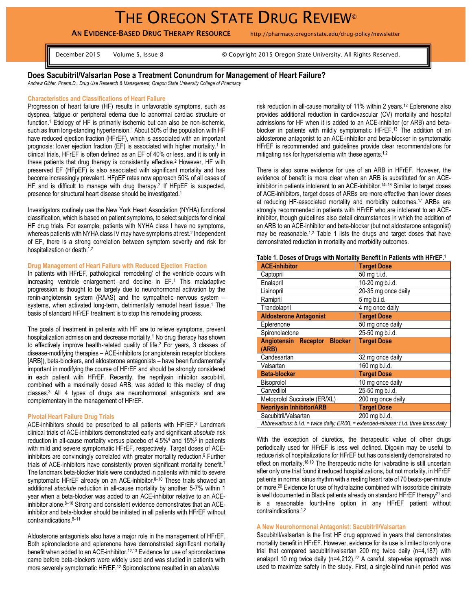**AN EVIDENCE-BASED DRUG THERAPY RESOURCE** http://pharmacy.oregonstate.edu/drug-policy/newsletter

December 2015 Volume 5, Issue 8 © Copyright 2015 Oregon State University. All Rights Reserved.

# **Does Sacubitril/Valsartan Pose a Treatment Conundrum for Management of Heart Failure?**

*Andrew Gibler, Pharm.D., Drug Use Research & Management, Oregon State University College of Pharmacy*

#### **Characteristics and Classifications of Heart Failure**

Progression of heart failure (HF) results in unfavorable symptoms, such as dyspnea, fatigue or peripheral edema due to abnormal cardiac structure or function.<sup>1</sup> Etiology of HF is primarily ischemic but can also be non-ischemic, such as from long-standing hypertension.<sup>1</sup> About 50% of the population with HF have reduced ejection fraction (HFrEF), which is associated with an important prognosis: lower ejection fraction (EF) is associated with higher mortality. 1 In clinical trials, HFrEF is often defined as an EF of 40% or less, and it is only in these patients that drug therapy is consistently effective. <sup>2</sup> However, HF with preserved EF (HFpEF) is also associated with significant mortality and has become increasingly prevalent. HFpEF rates now approach 50% of all cases of HF and is difficult to manage with drug therapy.<sup>2</sup> If HFpEF is suspected, presence for structural heart disease should be investigated. 1

Investigators routinely use the New York Heart Association (NYHA) functional classification, which is based on patient symptoms, to select subjects for clinical HF drug trials. For example, patients with NYHA class I have no symptoms, whereas patients with NYHA class IV may have symptoms at rest.<sup>2</sup> Independent of EF, there is a strong correlation between symptom severity and risk for hospitalization or death.<sup>1,2</sup>

### **Drug Management of Heart Failure with Reduced Ejection Fraction**

In patients with HFrEF, pathological 'remodeling' of the ventricle occurs with increasing ventricle enlargement and decline in EF.<sup>1</sup> This maladaptive progression is thought to be largely due to neurohormonal activation by the renin-angiotensin system (RAAS) and the sympathetic nervous system – systems, when activated long-term, detrimentally remodel heart tissue. <sup>1</sup> The basis of standard HFrEF treatment is to stop this remodeling process.

The goals of treatment in patients with HF are to relieve symptoms, prevent hospitalization admission and decrease mortality.<sup>1</sup> No drug therapy has shown to effectively improve health-related quality of life.<sup>2</sup> For years, 3 classes of disease-modifying therapies – ACE-inhibitors (or angiotensin receptor blockers [ARB]), beta-blockers, and aldosterone antagonists – have been fundamentally important in modifying the course of HFrEF and should be strongly considered in each patient with HFrEF. Recently, the neprilysin inhibitor sacubitril, combined with a maximally dosed ARB, was added to this medley of drug classes. <sup>3</sup> All 4 types of drugs are neurohormonal antagonists and are complementary in the management of HFrEF.

#### **Pivotal Heart Failure Drug Trials**

ACE-inhibitors should be prescribed to all patients with HFrEF.<sup>2</sup> Landmark clinical trials of ACE-inhibitors demonstrated early and significant *absolute* risk reduction in all-cause mortality versus placebo of 4.5%<sup>4</sup> and 15%<sup>5</sup> in patients with mild and severe symptomatic HFrEF, respectively. Target doses of ACEinhibitors are convincingly correlated with greater mortality reduction. <sup>6</sup> Further trials of ACE-inhibitors have consistently proven significant mortality benefit.<sup>7</sup> The landmark beta-blocker trials were conducted in patients with mild to severe symptomatic HFrEF already on an ACE-inhibitor.<sup>8-10</sup> These trials showed an additional *absolute* reduction in all-cause mortality by another 5-7% within 1 year when a beta-blocker was added to an ACE-inhibitor relative to an ACEinhibitor alone. <sup>8</sup>–<sup>10</sup> Strong and consistent evidence demonstrates that an ACEinhibitor and beta-blocker should be initiated in all patients with HFrEF without contraindications. 8–11

Aldosterone antagonists also have a major role in the management of HFrEF. Both spironolactone and eplerenone have demonstrated significant mortality benefit when added to an ACE-inhibitor.<sup>12,13</sup> Evidence for use of spironolactone came before beta-blockers were widely used and was studied in patients with more severely symptomatic HFrEF.<sup>12</sup> Spironolactone resulted in an *absolute*

risk reduction in all-cause mortality of 11% within 2 years.<sup>12</sup> Eplerenone also provides additional reduction in cardiovascular (CV) mortality and hospital admissions for HF when it is added to an ACE-inhibitor (or ARB) and betablocker in patients with mildly symptomatic HFrEF.<sup>13</sup> The addition of an aldosterone antagonist to an ACE-inhibitor and beta-blocker in symptomatic HFrEF is recommended and guidelines provide clear recommendations for mitigating risk for hyperkalemia with these agents.<sup>1,2</sup>

There is also some evidence for use of an ARB in HFrEF. However, the evidence of benefit is more clear when an ARB is substituted for an ACEinhibitor in patients intolerant to an ACE-inhibitor. <sup>14</sup>–<sup>16</sup> Similar to target doses of ACE-inhibitors, target doses of ARBs are more effective than lower doses at reducing HF-associated mortality and morbidity outcomes.<sup>17</sup> ARBs are strongly recommended in patients with HFrEF who are intolerant to an ACEinhibitor, though guidelines also detail circumstances in which the addition of an ARB to an ACE-inhibitor and beta-blocker (but not aldosterone antagonist) may be reasonable.<sup>1,2</sup> Table 1 lists the drugs and target doses that have demonstrated reduction in mortality and morbidity outcomes.

| <b>ACE-inhibitor</b>                                                                          | <b>Target Dose</b>  |
|-----------------------------------------------------------------------------------------------|---------------------|
| Captopril                                                                                     | 50 mg t.i.d.        |
| Enalapril                                                                                     | 10-20 mg b.i.d.     |
| Lisinopril                                                                                    | 20-35 mg once daily |
| Ramipril                                                                                      | 5 mg b.i.d.         |
| Trandolapril                                                                                  | 4 mg once daily     |
| <b>Aldosterone Antagonist</b>                                                                 | <b>Target Dose</b>  |
| Eplerenone                                                                                    | 50 mg once daily    |
| Spironolactone                                                                                | 25-50 mg b.i.d.     |
| Angiotensin Receptor Blocker                                                                  | <b>Target Dose</b>  |
| (ARB)                                                                                         |                     |
| Candesartan                                                                                   | 32 mg once daily    |
| Valsartan                                                                                     | 160 mg b.i.d.       |
| <b>Beta-blocker</b>                                                                           | <b>Target Dose</b>  |
| <b>Bisoprolol</b>                                                                             | 10 mg once daily    |
| Carvedilol                                                                                    | 25-50 mg b.i.d.     |
| Metoprolol Succinate (ER/XL)                                                                  | 200 mg once daily   |
| <b>Neprilysin Inhibitor/ARB</b>                                                               | <b>Target Dose</b>  |
| Sacubitril/Valsartan                                                                          | 200 mg b.i.d.       |
| Abbreviations: $b.i.d. = twice daily$ ; $ER/XL = extended$ -release; t.i.d. three times daily |                     |

With the exception of diuretics, the therapeutic value of other drugs periodically used for HFrEF is less well defined. Digoxin may be useful to reduce risk of hospitalizations for HFrEF but has consistently demonstrated no effect on mortality.<sup>18,19</sup> The therapeutic niche for ivabradine is still uncertain after only one trial found it reduced hospitalizations, but not mortality, in HFrEF patients in normal sinus rhythm with a resting heart rate of 70 beats-per-minute or more. <sup>20</sup> Evidence for use of hydralazine combined with isosorbide dinitrate is well documented in Black patients already on standard HFrEF therapy<sup>21</sup> and is a reasonable fourth-line option in any HFrEF patient without contraindications.1,2

# **A New Neurohormonal Antagonist: Sacubitril/Valsartan**

Sacubitril/valsartan is the first HF drug approved in years that demonstrates mortality benefit in HFrEF. However, evidence for its use is limited to only one trial that compared sacubitril/valsartan 200 mg twice daily (n=4,187) with enalapril 10 mg twice daily (n=4,212).<sup>22</sup> A careful, step-wise approach was used to maximize safety in the study. First, a single-blind run-in period was